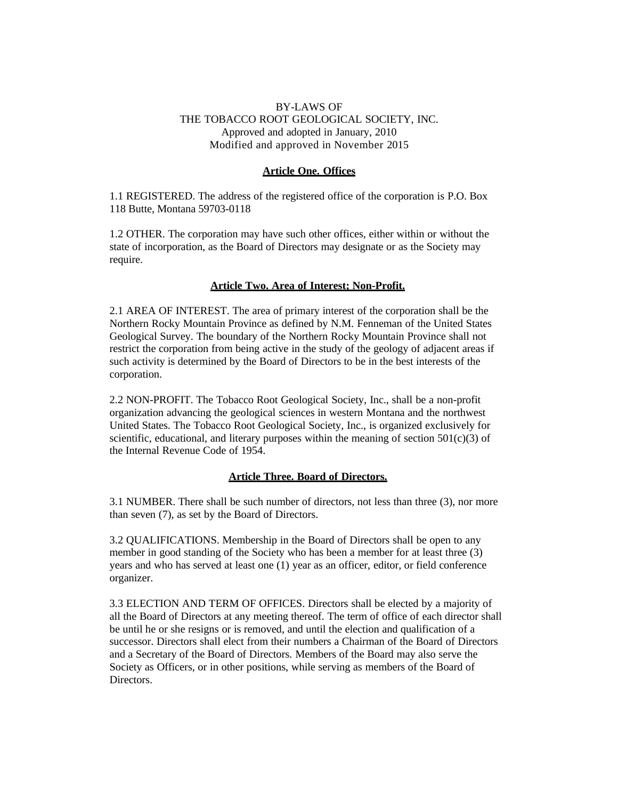# BY-LAWS OF THE TOBACCO ROOT GEOLOGICAL SOCIETY, INC. Approved and adopted in January, 2010 Modified and approved in November 2015

## **Article One. Offices**

1.1 REGISTERED. The address of the registered office of the corporation is P.O. Box 118 Butte, Montana 59703-0118

1.2 OTHER. The corporation may have such other offices, either within or without the state of incorporation, as the Board of Directors may designate or as the Society may require.

## **Article Two. Area of Interest; Non-Profit.**

2.1 AREA OF INTEREST. The area of primary interest of the corporation shall be the Northern Rocky Mountain Province as defined by N.M. Fenneman of the United States Geological Survey. The boundary of the Northern Rocky Mountain Province shall not restrict the corporation from being active in the study of the geology of adjacent areas if such activity is determined by the Board of Directors to be in the best interests of the corporation.

2.2 NON-PROFIT. The Tobacco Root Geological Society, Inc., shall be a non-profit organization advancing the geological sciences in western Montana and the northwest United States. The Tobacco Root Geological Society, Inc., is organized exclusively for scientific, educational, and literary purposes within the meaning of section  $501(c)(3)$  of the Internal Revenue Code of 1954.

#### **Article Three. Board of Directors.**

3.1 NUMBER. There shall be such number of directors, not less than three (3), nor more than seven (7), as set by the Board of Directors.

3.2 QUALIFICATIONS. Membership in the Board of Directors shall be open to any member in good standing of the Society who has been a member for at least three (3) years and who has served at least one (1) year as an officer, editor, or field conference organizer.

3.3 ELECTION AND TERM OF OFFICES. Directors shall be elected by a majority of all the Board of Directors at any meeting thereof. The term of office of each director shall be until he or she resigns or is removed, and until the election and qualification of a successor. Directors shall elect from their numbers a Chairman of the Board of Directors and a Secretary of the Board of Directors. Members of the Board may also serve the Society as Officers, or in other positions, while serving as members of the Board of Directors.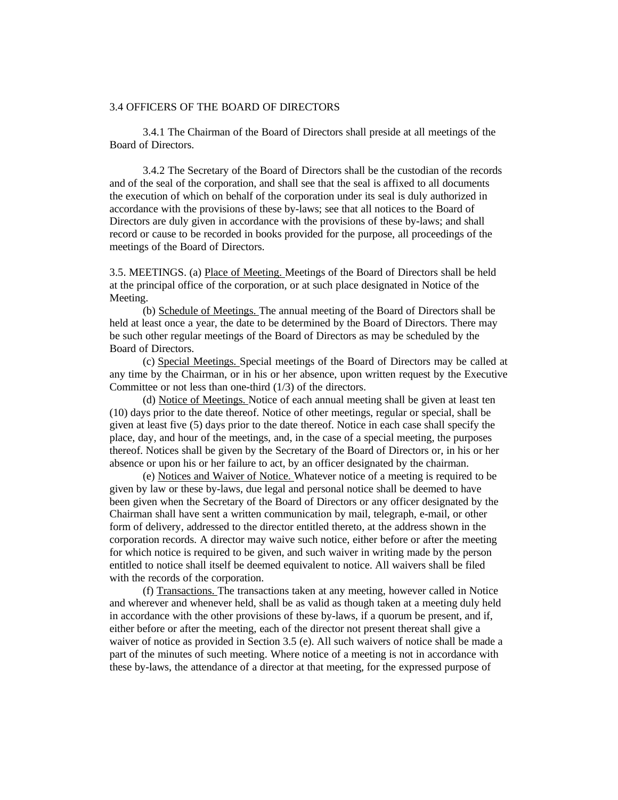#### 3.4 OFFICERS OF THE BOARD OF DIRECTORS

3.4.1 The Chairman of the Board of Directors shall preside at all meetings of the Board of Directors.

3.4.2 The Secretary of the Board of Directors shall be the custodian of the records and of the seal of the corporation, and shall see that the seal is affixed to all documents the execution of which on behalf of the corporation under its seal is duly authorized in accordance with the provisions of these by-laws; see that all notices to the Board of Directors are duly given in accordance with the provisions of these by-laws; and shall record or cause to be recorded in books provided for the purpose, all proceedings of the meetings of the Board of Directors.

3.5. MEETINGS. (a) Place of Meeting. Meetings of the Board of Directors shall be held at the principal office of the corporation, or at such place designated in Notice of the Meeting.

(b) Schedule of Meetings. The annual meeting of the Board of Directors shall be held at least once a year, the date to be determined by the Board of Directors. There may be such other regular meetings of the Board of Directors as may be scheduled by the Board of Directors.

(c) Special Meetings. Special meetings of the Board of Directors may be called at any time by the Chairman, or in his or her absence, upon written request by the Executive Committee or not less than one-third (1/3) of the directors.

(d) Notice of Meetings. Notice of each annual meeting shall be given at least ten (10) days prior to the date thereof. Notice of other meetings, regular or special, shall be given at least five (5) days prior to the date thereof. Notice in each case shall specify the place, day, and hour of the meetings, and, in the case of a special meeting, the purposes thereof. Notices shall be given by the Secretary of the Board of Directors or, in his or her absence or upon his or her failure to act, by an officer designated by the chairman.

(e) Notices and Waiver of Notice. Whatever notice of a meeting is required to be given by law or these by-laws, due legal and personal notice shall be deemed to have been given when the Secretary of the Board of Directors or any officer designated by the Chairman shall have sent a written communication by mail, telegraph, e-mail, or other form of delivery, addressed to the director entitled thereto, at the address shown in the corporation records. A director may waive such notice, either before or after the meeting for which notice is required to be given, and such waiver in writing made by the person entitled to notice shall itself be deemed equivalent to notice. All waivers shall be filed with the records of the corporation.

(f) Transactions. The transactions taken at any meeting, however called in Notice and wherever and whenever held, shall be as valid as though taken at a meeting duly held in accordance with the other provisions of these by-laws, if a quorum be present, and if, either before or after the meeting, each of the director not present thereat shall give a waiver of notice as provided in Section 3.5 (e). All such waivers of notice shall be made a part of the minutes of such meeting. Where notice of a meeting is not in accordance with these by-laws, the attendance of a director at that meeting, for the expressed purpose of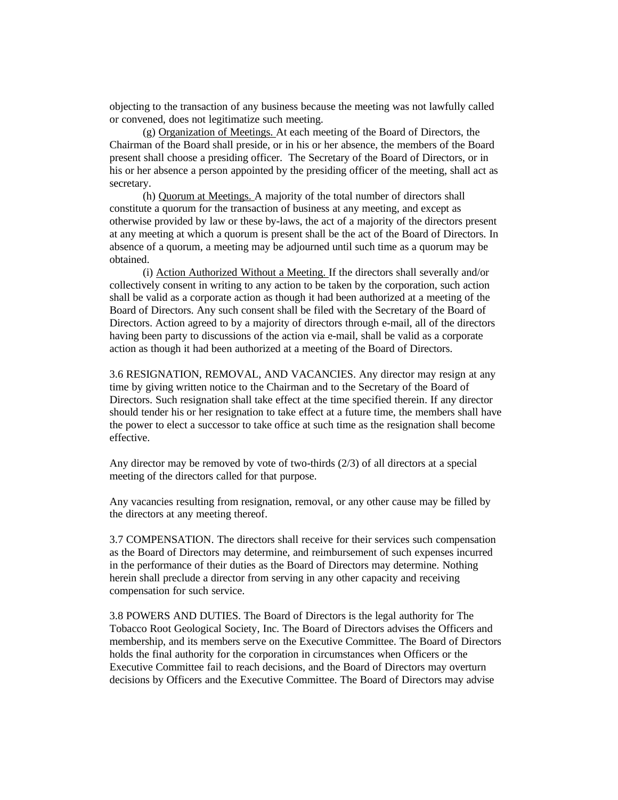objecting to the transaction of any business because the meeting was not lawfully called or convened, does not legitimatize such meeting.

(g) Organization of Meetings. At each meeting of the Board of Directors, the Chairman of the Board shall preside, or in his or her absence, the members of the Board present shall choose a presiding officer. The Secretary of the Board of Directors, or in his or her absence a person appointed by the presiding officer of the meeting, shall act as secretary.

(h) Quorum at Meetings. A majority of the total number of directors shall constitute a quorum for the transaction of business at any meeting, and except as otherwise provided by law or these by-laws, the act of a majority of the directors present at any meeting at which a quorum is present shall be the act of the Board of Directors. In absence of a quorum, a meeting may be adjourned until such time as a quorum may be obtained.

(i) Action Authorized Without a Meeting. If the directors shall severally and/or collectively consent in writing to any action to be taken by the corporation, such action shall be valid as a corporate action as though it had been authorized at a meeting of the Board of Directors. Any such consent shall be filed with the Secretary of the Board of Directors. Action agreed to by a majority of directors through e-mail, all of the directors having been party to discussions of the action via e-mail, shall be valid as a corporate action as though it had been authorized at a meeting of the Board of Directors.

3.6 RESIGNATION, REMOVAL, AND VACANCIES. Any director may resign at any time by giving written notice to the Chairman and to the Secretary of the Board of Directors. Such resignation shall take effect at the time specified therein. If any director should tender his or her resignation to take effect at a future time, the members shall have the power to elect a successor to take office at such time as the resignation shall become effective.

Any director may be removed by vote of two-thirds (2/3) of all directors at a special meeting of the directors called for that purpose.

Any vacancies resulting from resignation, removal, or any other cause may be filled by the directors at any meeting thereof.

3.7 COMPENSATION. The directors shall receive for their services such compensation as the Board of Directors may determine, and reimbursement of such expenses incurred in the performance of their duties as the Board of Directors may determine. Nothing herein shall preclude a director from serving in any other capacity and receiving compensation for such service.

3.8 POWERS AND DUTIES. The Board of Directors is the legal authority for The Tobacco Root Geological Society, Inc. The Board of Directors advises the Officers and membership, and its members serve on the Executive Committee. The Board of Directors holds the final authority for the corporation in circumstances when Officers or the Executive Committee fail to reach decisions, and the Board of Directors may overturn decisions by Officers and the Executive Committee. The Board of Directors may advise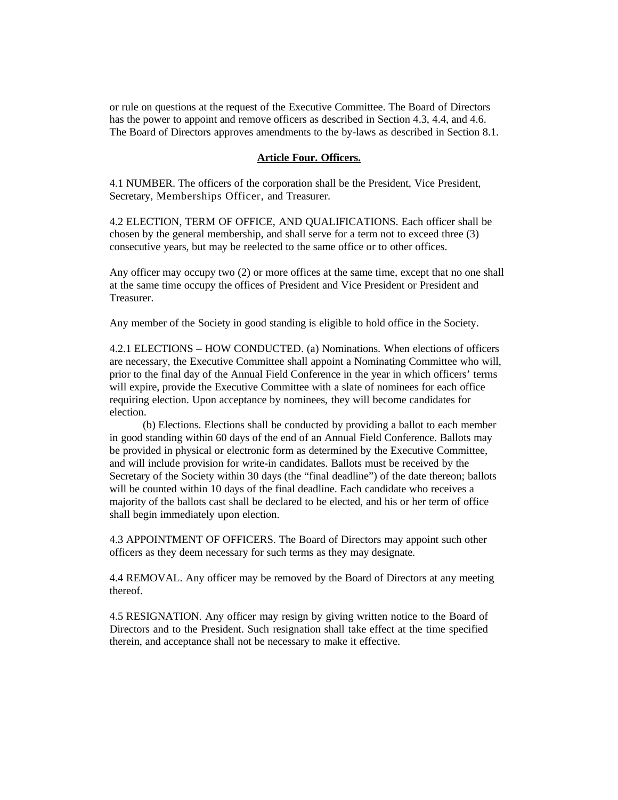or rule on questions at the request of the Executive Committee. The Board of Directors has the power to appoint and remove officers as described in Section 4.3, 4.4, and 4.6. The Board of Directors approves amendments to the by-laws as described in Section 8.1.

#### **Article Four. Officers.**

4.1 NUMBER. The officers of the corporation shall be the President, Vice President, Secretary, Memberships Officer, and Treasurer.

4.2 ELECTION, TERM OF OFFICE, AND QUALIFICATIONS. Each officer shall be chosen by the general membership, and shall serve for a term not to exceed three (3) consecutive years, but may be reelected to the same office or to other offices.

Any officer may occupy two (2) or more offices at the same time, except that no one shall at the same time occupy the offices of President and Vice President or President and Treasurer.

Any member of the Society in good standing is eligible to hold office in the Society.

4.2.1 ELECTIONS – HOW CONDUCTED. (a) Nominations. When elections of officers are necessary, the Executive Committee shall appoint a Nominating Committee who will, prior to the final day of the Annual Field Conference in the year in which officers' terms will expire, provide the Executive Committee with a slate of nominees for each office requiring election. Upon acceptance by nominees, they will become candidates for election.

(b) Elections. Elections shall be conducted by providing a ballot to each member in good standing within 60 days of the end of an Annual Field Conference. Ballots may be provided in physical or electronic form as determined by the Executive Committee, and will include provision for write-in candidates. Ballots must be received by the Secretary of the Society within 30 days (the "final deadline") of the date thereon; ballots will be counted within 10 days of the final deadline. Each candidate who receives a majority of the ballots cast shall be declared to be elected, and his or her term of office shall begin immediately upon election.

4.3 APPOINTMENT OF OFFICERS. The Board of Directors may appoint such other officers as they deem necessary for such terms as they may designate.

4.4 REMOVAL. Any officer may be removed by the Board of Directors at any meeting thereof.

4.5 RESIGNATION. Any officer may resign by giving written notice to the Board of Directors and to the President. Such resignation shall take effect at the time specified therein, and acceptance shall not be necessary to make it effective.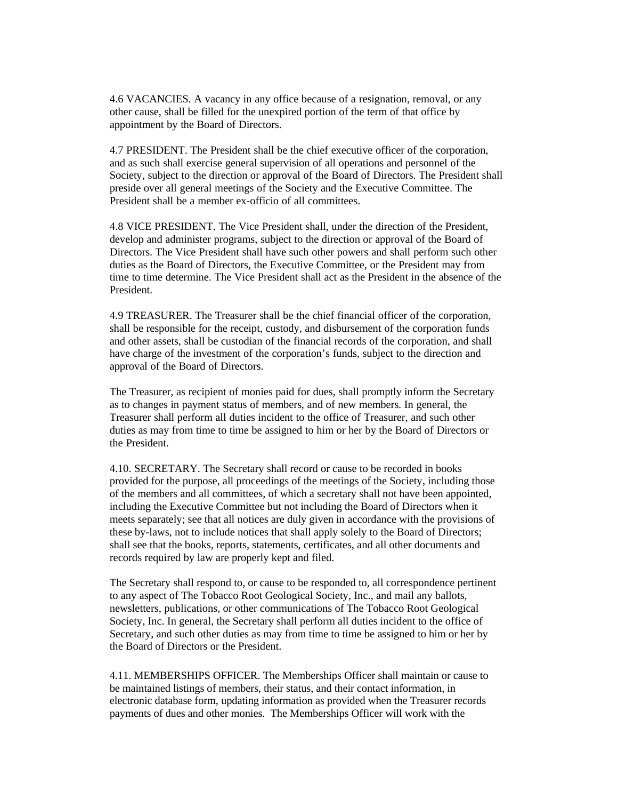4.6 VACANCIES. A vacancy in any office because of a resignation, removal, or any other cause, shall be filled for the unexpired portion of the term of that office by appointment by the Board of Directors.

4.7 PRESIDENT. The President shall be the chief executive officer of the corporation, and as such shall exercise general supervision of all operations and personnel of the Society, subject to the direction or approval of the Board of Directors. The President shall preside over all general meetings of the Society and the Executive Committee. The President shall be a member ex-officio of all committees.

4.8 VICE PRESIDENT. The Vice President shall, under the direction of the President, develop and administer programs, subject to the direction or approval of the Board of Directors. The Vice President shall have such other powers and shall perform such other duties as the Board of Directors, the Executive Committee, or the President may from time to time determine. The Vice President shall act as the President in the absence of the President.

4.9 TREASURER. The Treasurer shall be the chief financial officer of the corporation, shall be responsible for the receipt, custody, and disbursement of the corporation funds and other assets, shall be custodian of the financial records of the corporation, and shall have charge of the investment of the corporation's funds, subject to the direction and approval of the Board of Directors.

The Treasurer, as recipient of monies paid for dues, shall promptly inform the Secretary as to changes in payment status of members, and of new members. In general, the Treasurer shall perform all duties incident to the office of Treasurer, and such other duties as may from time to time be assigned to him or her by the Board of Directors or the President.

4.10. SECRETARY. The Secretary shall record or cause to be recorded in books provided for the purpose, all proceedings of the meetings of the Society, including those of the members and all committees, of which a secretary shall not have been appointed, including the Executive Committee but not including the Board of Directors when it meets separately; see that all notices are duly given in accordance with the provisions of these by-laws, not to include notices that shall apply solely to the Board of Directors; shall see that the books, reports, statements, certificates, and all other documents and records required by law are properly kept and filed.

The Secretary shall respond to, or cause to be responded to, all correspondence pertinent to any aspect of The Tobacco Root Geological Society, Inc., and mail any ballots, newsletters, publications, or other communications of The Tobacco Root Geological Society, Inc. In general, the Secretary shall perform all duties incident to the office of Secretary, and such other duties as may from time to time be assigned to him or her by the Board of Directors or the President.

4.11. MEMBERSHIPS OFFICER. The Memberships Officer shall maintain or cause to be maintained listings of members, their status, and their contact information, in electronic database form, updating information as provided when the Treasurer records payments of dues and other monies. The Memberships Officer will work with the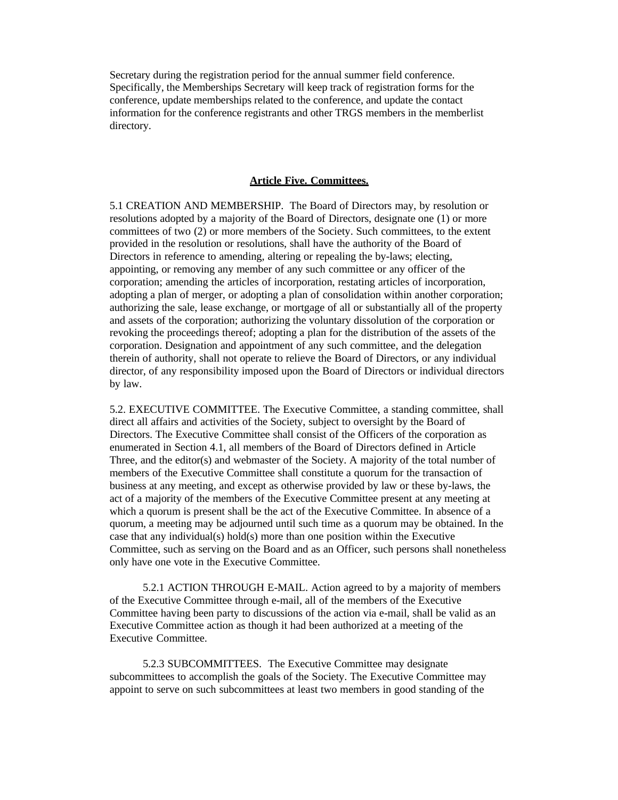Secretary during the registration period for the annual summer field conference. Specifically, the Memberships Secretary will keep track of registration forms for the conference, update memberships related to the conference, and update the contact information for the conference registrants and other TRGS members in the memberlist directory.

## **Article Five. Committees.**

5.1 CREATION AND MEMBERSHIP. The Board of Directors may, by resolution or resolutions adopted by a majority of the Board of Directors, designate one (1) or more committees of two (2) or more members of the Society. Such committees, to the extent provided in the resolution or resolutions, shall have the authority of the Board of Directors in reference to amending, altering or repealing the by-laws; electing, appointing, or removing any member of any such committee or any officer of the corporation; amending the articles of incorporation, restating articles of incorporation, adopting a plan of merger, or adopting a plan of consolidation within another corporation; authorizing the sale, lease exchange, or mortgage of all or substantially all of the property and assets of the corporation; authorizing the voluntary dissolution of the corporation or revoking the proceedings thereof; adopting a plan for the distribution of the assets of the corporation. Designation and appointment of any such committee, and the delegation therein of authority, shall not operate to relieve the Board of Directors, or any individual director, of any responsibility imposed upon the Board of Directors or individual directors by law.

5.2. EXECUTIVE COMMITTEE. The Executive Committee, a standing committee, shall direct all affairs and activities of the Society, subject to oversight by the Board of Directors. The Executive Committee shall consist of the Officers of the corporation as enumerated in Section 4.1, all members of the Board of Directors defined in Article Three, and the editor(s) and webmaster of the Society. A majority of the total number of members of the Executive Committee shall constitute a quorum for the transaction of business at any meeting, and except as otherwise provided by law or these by-laws, the act of a majority of the members of the Executive Committee present at any meeting at which a quorum is present shall be the act of the Executive Committee. In absence of a quorum, a meeting may be adjourned until such time as a quorum may be obtained. In the case that any individual(s) hold(s) more than one position within the Executive Committee, such as serving on the Board and as an Officer, such persons shall nonetheless only have one vote in the Executive Committee.

5.2.1 ACTION THROUGH E-MAIL. Action agreed to by a majority of members of the Executive Committee through e-mail, all of the members of the Executive Committee having been party to discussions of the action via e-mail, shall be valid as an Executive Committee action as though it had been authorized at a meeting of the Executive Committee.

5.2.3 SUBCOMMITTEES. The Executive Committee may designate subcommittees to accomplish the goals of the Society. The Executive Committee may appoint to serve on such subcommittees at least two members in good standing of the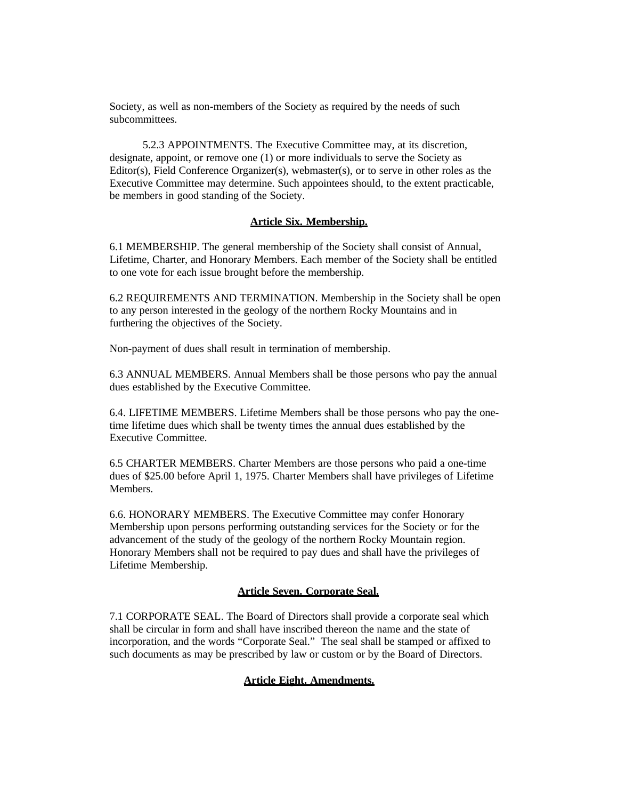Society, as well as non-members of the Society as required by the needs of such subcommittees.

5.2.3 APPOINTMENTS. The Executive Committee may, at its discretion, designate, appoint, or remove one (1) or more individuals to serve the Society as Editor(s), Field Conference Organizer(s), webmaster(s), or to serve in other roles as the Executive Committee may determine. Such appointees should, to the extent practicable, be members in good standing of the Society.

#### **Article Six. Membership.**

6.1 MEMBERSHIP. The general membership of the Society shall consist of Annual, Lifetime, Charter, and Honorary Members. Each member of the Society shall be entitled to one vote for each issue brought before the membership.

6.2 REQUIREMENTS AND TERMINATION. Membership in the Society shall be open to any person interested in the geology of the northern Rocky Mountains and in furthering the objectives of the Society.

Non-payment of dues shall result in termination of membership.

6.3 ANNUAL MEMBERS. Annual Members shall be those persons who pay the annual dues established by the Executive Committee.

6.4. LIFETIME MEMBERS. Lifetime Members shall be those persons who pay the onetime lifetime dues which shall be twenty times the annual dues established by the Executive Committee.

6.5 CHARTER MEMBERS. Charter Members are those persons who paid a one-time dues of \$25.00 before April 1, 1975. Charter Members shall have privileges of Lifetime Members.

6.6. HONORARY MEMBERS. The Executive Committee may confer Honorary Membership upon persons performing outstanding services for the Society or for the advancement of the study of the geology of the northern Rocky Mountain region. Honorary Members shall not be required to pay dues and shall have the privileges of Lifetime Membership.

# **Article Seven. Corporate Seal.**

7.1 CORPORATE SEAL. The Board of Directors shall provide a corporate seal which shall be circular in form and shall have inscribed thereon the name and the state of incorporation, and the words "Corporate Seal." The seal shall be stamped or affixed to such documents as may be prescribed by law or custom or by the Board of Directors.

## **Article Eight. Amendments.**